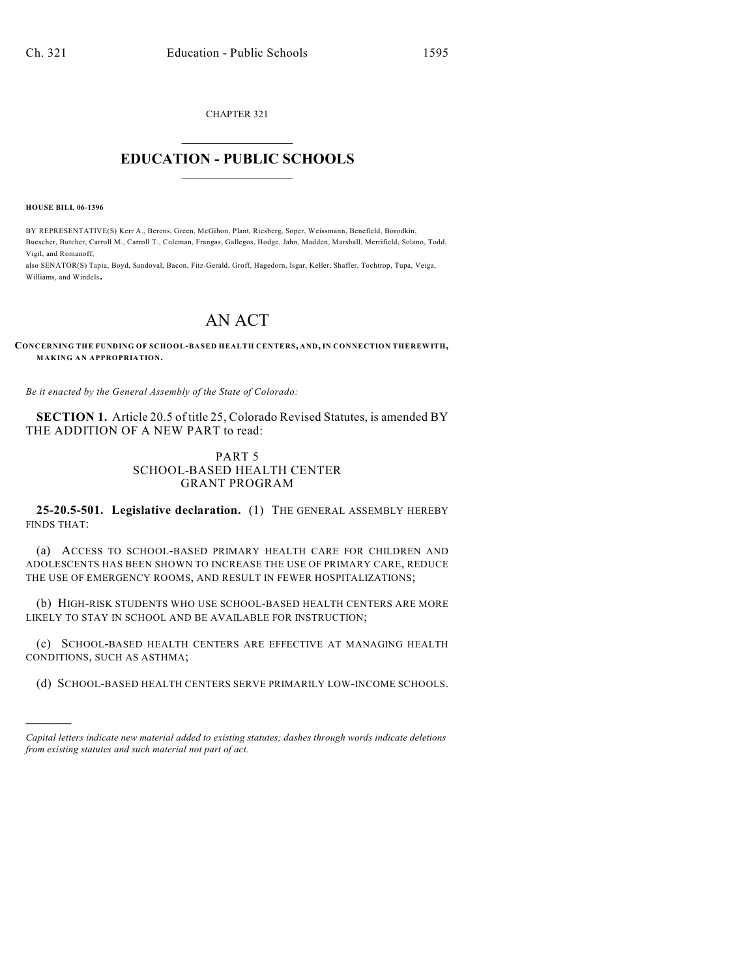CHAPTER 321  $\overline{\phantom{a}}$  . The set of the set of the set of the set of the set of the set of the set of the set of the set of the set of the set of the set of the set of the set of the set of the set of the set of the set of the set o

## **EDUCATION - PUBLIC SCHOOLS**  $\_$   $\_$   $\_$   $\_$   $\_$   $\_$   $\_$   $\_$   $\_$

**HOUSE BILL 06-1396**

)))))

BY REPRESENTATIVE(S) Kerr A., Berens, Green, McGihon, Plant, Riesberg, Soper, Weissmann, Benefield, Borodkin, Buescher, Butcher, Carroll M., Carroll T., Coleman, Frangas, Gallegos, Hodge, Jahn, Madden, Marshall, Merrifield, Solano, Todd, Vigil, and Romanoff;

also SENATOR(S) Tapia, Boyd, Sandoval, Bacon, Fitz-Gerald, Groff, Hagedorn, Isgar, Keller, Shaffer, Tochtrop, Tupa, Veiga, Williams, and Windels.

## AN ACT

**CONCERNING THE FUNDING OF SCHOOL-BASED HEALTH CENTERS, AND, IN CONNECTION THEREWITH, MAKING AN APPROPRIATION.**

*Be it enacted by the General Assembly of the State of Colorado:*

**SECTION 1.** Article 20.5 of title 25, Colorado Revised Statutes, is amended BY THE ADDITION OF A NEW PART to read:

## PART 5 SCHOOL-BASED HEALTH CENTER GRANT PROGRAM

**25-20.5-501. Legislative declaration.** (1) THE GENERAL ASSEMBLY HEREBY FINDS THAT:

(a) ACCESS TO SCHOOL-BASED PRIMARY HEALTH CARE FOR CHILDREN AND ADOLESCENTS HAS BEEN SHOWN TO INCREASE THE USE OF PRIMARY CARE, REDUCE THE USE OF EMERGENCY ROOMS, AND RESULT IN FEWER HOSPITALIZATIONS;

(b) HIGH-RISK STUDENTS WHO USE SCHOOL-BASED HEALTH CENTERS ARE MORE LIKELY TO STAY IN SCHOOL AND BE AVAILABLE FOR INSTRUCTION;

(c) SCHOOL-BASED HEALTH CENTERS ARE EFFECTIVE AT MANAGING HEALTH CONDITIONS, SUCH AS ASTHMA;

(d) SCHOOL-BASED HEALTH CENTERS SERVE PRIMARILY LOW-INCOME SCHOOLS.

*Capital letters indicate new material added to existing statutes; dashes through words indicate deletions from existing statutes and such material not part of act.*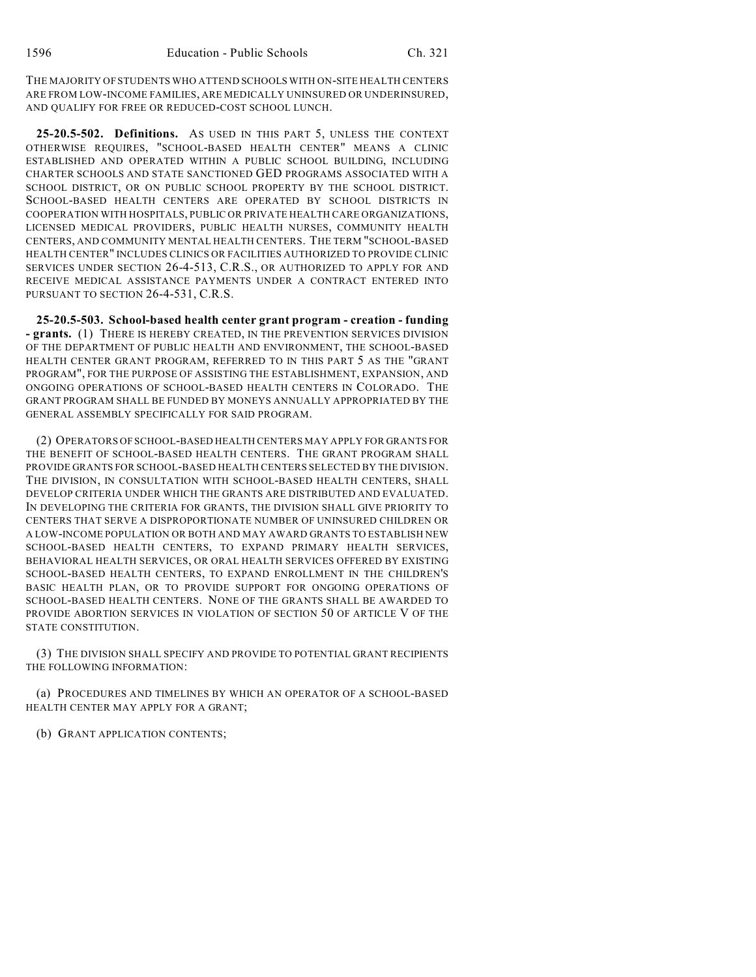THE MAJORITY OF STUDENTS WHO ATTEND SCHOOLS WITH ON-SITE HEALTH CENTERS ARE FROM LOW-INCOME FAMILIES, ARE MEDICALLY UNINSURED OR UNDERINSURED, AND QUALIFY FOR FREE OR REDUCED-COST SCHOOL LUNCH.

**25-20.5-502. Definitions.** AS USED IN THIS PART 5, UNLESS THE CONTEXT OTHERWISE REQUIRES, "SCHOOL-BASED HEALTH CENTER" MEANS A CLINIC ESTABLISHED AND OPERATED WITHIN A PUBLIC SCHOOL BUILDING, INCLUDING CHARTER SCHOOLS AND STATE SANCTIONED GED PROGRAMS ASSOCIATED WITH A SCHOOL DISTRICT, OR ON PUBLIC SCHOOL PROPERTY BY THE SCHOOL DISTRICT. SCHOOL-BASED HEALTH CENTERS ARE OPERATED BY SCHOOL DISTRICTS IN COOPERATION WITH HOSPITALS, PUBLIC OR PRIVATE HEALTH CARE ORGANIZATIONS, LICENSED MEDICAL PROVIDERS, PUBLIC HEALTH NURSES, COMMUNITY HEALTH CENTERS, AND COMMUNITY MENTAL HEALTH CENTERS. THE TERM "SCHOOL-BASED HEALTH CENTER" INCLUDES CLINICS OR FACILITIES AUTHORIZED TO PROVIDE CLINIC SERVICES UNDER SECTION 26-4-513, C.R.S., OR AUTHORIZED TO APPLY FOR AND RECEIVE MEDICAL ASSISTANCE PAYMENTS UNDER A CONTRACT ENTERED INTO PURSUANT TO SECTION 26-4-531, C.R.S.

**25-20.5-503. School-based health center grant program - creation - funding - grants.** (1) THERE IS HEREBY CREATED, IN THE PREVENTION SERVICES DIVISION OF THE DEPARTMENT OF PUBLIC HEALTH AND ENVIRONMENT, THE SCHOOL-BASED HEALTH CENTER GRANT PROGRAM, REFERRED TO IN THIS PART 5 AS THE "GRANT PROGRAM", FOR THE PURPOSE OF ASSISTING THE ESTABLISHMENT, EXPANSION, AND ONGOING OPERATIONS OF SCHOOL-BASED HEALTH CENTERS IN COLORADO. THE GRANT PROGRAM SHALL BE FUNDED BY MONEYS ANNUALLY APPROPRIATED BY THE GENERAL ASSEMBLY SPECIFICALLY FOR SAID PROGRAM.

(2) OPERATORS OF SCHOOL-BASED HEALTH CENTERS MAY APPLY FOR GRANTS FOR THE BENEFIT OF SCHOOL-BASED HEALTH CENTERS. THE GRANT PROGRAM SHALL PROVIDE GRANTS FOR SCHOOL-BASED HEALTH CENTERS SELECTED BY THE DIVISION. THE DIVISION, IN CONSULTATION WITH SCHOOL-BASED HEALTH CENTERS, SHALL DEVELOP CRITERIA UNDER WHICH THE GRANTS ARE DISTRIBUTED AND EVALUATED. IN DEVELOPING THE CRITERIA FOR GRANTS, THE DIVISION SHALL GIVE PRIORITY TO CENTERS THAT SERVE A DISPROPORTIONATE NUMBER OF UNINSURED CHILDREN OR A LOW-INCOME POPULATION OR BOTH AND MAY AWARD GRANTS TO ESTABLISH NEW SCHOOL-BASED HEALTH CENTERS, TO EXPAND PRIMARY HEALTH SERVICES, BEHAVIORAL HEALTH SERVICES, OR ORAL HEALTH SERVICES OFFERED BY EXISTING SCHOOL-BASED HEALTH CENTERS, TO EXPAND ENROLLMENT IN THE CHILDREN'S BASIC HEALTH PLAN, OR TO PROVIDE SUPPORT FOR ONGOING OPERATIONS OF SCHOOL-BASED HEALTH CENTERS. NONE OF THE GRANTS SHALL BE AWARDED TO PROVIDE ABORTION SERVICES IN VIOLATION OF SECTION 50 OF ARTICLE V OF THE STATE CONSTITUTION.

(3) THE DIVISION SHALL SPECIFY AND PROVIDE TO POTENTIAL GRANT RECIPIENTS THE FOLLOWING INFORMATION:

(a) PROCEDURES AND TIMELINES BY WHICH AN OPERATOR OF A SCHOOL-BASED HEALTH CENTER MAY APPLY FOR A GRANT;

(b) GRANT APPLICATION CONTENTS;